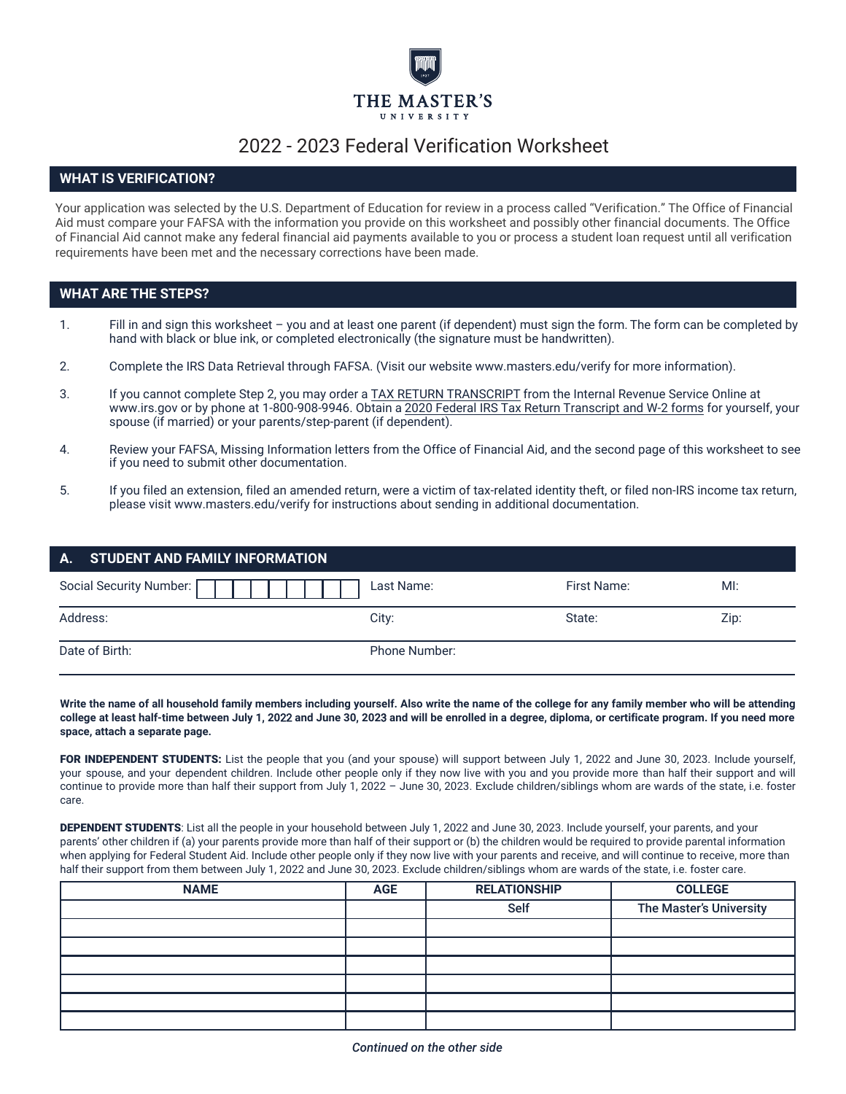

# 2022 - 2023 Federal Verification Worksheet

## **WHAT IS VERIFICATION?**

Your application was selected by the U.S. Department of Education for review in a process called "Verification." The Office of Financial Aid must compare your FAFSA with the information you provide on this worksheet and possibly other financial documents. The Office of Financial Aid cannot make any federal financial aid payments available to you or process a student loan request until all verification requirements have been met and the necessary corrections have been made.

## **WHAT ARE THE STEPS?**

- 1. Fill in and sign this worksheet you and at least one parent (if dependent) must sign the form. The form can be completed by hand with black or blue ink, or completed electronically (the signature must be handwritten).
- 2. Complete the IRS Data Retrieval through FAFSA. (Visit our website www.masters.edu/verify for more information).
- 3. If you cannot complete Step 2, you may order a TAX RETURN TRANSCRIPT from the Internal Revenue Service Online at www.irs.gov or by phone at 1-800-908-9946. Obtain a 2020 Federal IRS Tax Return Transcript and W-2 forms for yourself, your spouse (if married) or your parents/step-parent (if dependent).
- 4. Review your FAFSA, Missing Information letters from the Office of Financial Aid, and the second page of this worksheet to see if you need to submit other documentation.
- 5. If you filed an extension, filed an amended return, were a victim of tax-related identity theft, or filed non-IRS income tax return, please visit www.masters.edu/verify for instructions about sending in additional documentation.

| A. STUDENT AND FAMILY INFORMATION |               |             |      |
|-----------------------------------|---------------|-------------|------|
| Social Security Number: [         | Last Name:    | First Name: | M!   |
| Address:                          | City:         | State:      | Zip: |
| Date of Birth:                    | Phone Number: |             |      |

**Write the name of all household family members including yourself. Also write the name of the college for any family member who will be attending college at least half-time between July 1, 20**22 **and June 30, 202**3 **and will be enrolled in a degree, diploma, or certificate program. If you need more space, attach a separate page.**

FOR INDEPENDENT STUDENTS: List the people that you (and your spouse) will support between July 1, 2022 and June 30, 2023. Include yourself, your spouse, and your dependent children. Include other people only if they now live with you and you provide more than half their support and will continue to provide more than half their support from July 1, 2022 – June 30, 2023. Exclude children/siblings whom are wards of the state, i.e. foster care.

DEPENDENT STUDENTS: List all the people in your household between July 1, 2022 and June 30, 2023. Include yourself, your parents, and your parents' other children if (a) your parents provide more than half of their support or (b) the children would be required to provide parental information when applying for Federal Student Aid. Include other people only if they now live with your parents and receive, and will continue to receive, more than half their support from them between July 1, 2022 and June 30, 2023. Exclude children/siblings whom are wards of the state, i.e. foster care.

| <b>NAME</b> | <b>AGE</b> | <b>RELATIONSHIP</b> | <b>COLLEGE</b>          |
|-------------|------------|---------------------|-------------------------|
|             |            | <b>Self</b>         | The Master's University |
|             |            |                     |                         |
|             |            |                     |                         |
|             |            |                     |                         |
|             |            |                     |                         |
|             |            |                     |                         |
|             |            |                     |                         |